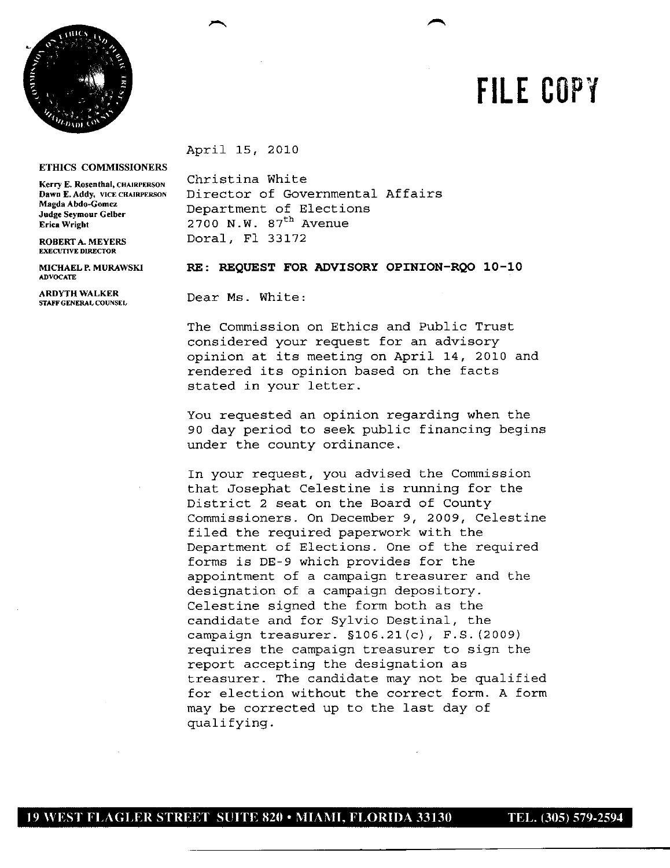

fr

## April 15, 2010

## **ETHICS COMMISSIONERS**

**EXECUTIVE DIRECTOR**

ADVOCATE

**Kerry E. Rosenthal, CHAIRPERSON** Christina White **Dawn E.Addy, VICE CHAIRFERSON** Director of Governmental Affairs JuclgeSeyrnourGelbcr Department of Elections **Erica Wright 2700 N.W.** 87<sup>th</sup> Avenue **ROBERTA.MEYERS** Doral, Fl 33172

## **MICHAEL P. MURAWSKI RE: REQUEST FOR ADVISORY OPINION-RQO 10-10**

**ARDYTH WALKER** Dear Ms. White:

The Commission on Ethics and Public Trust considered your request for an advisory opinion at its meeting on April 14, 2010 and rendered its opinion based on the facts stated in your letter.

You requested an opinion regarding when the 90 day period to seek public financing begins under the county ordinance.

In your request, you advised the Commission that Josephat Celestine is running for the District <sup>2</sup> seat on the Board of County Commissioners. On December 9, 2009, Celestine filed the required paperwork with the Department of Elections. One of the required forms is DE-9 which provides for the appointment of a campaign treasurer and the designation of a campaign depository. Celestine signed the form both as the candidate and for Sylvio Destinal, the campaign treasurer.  $$106.21(c)$ , F.S. (2009) requires the campaign treasurer to sign the report accepting the designation as treasurer. The candidate may not be qualified for election without the correct form. <sup>A</sup> form may be corrected up to the last day of qualifying.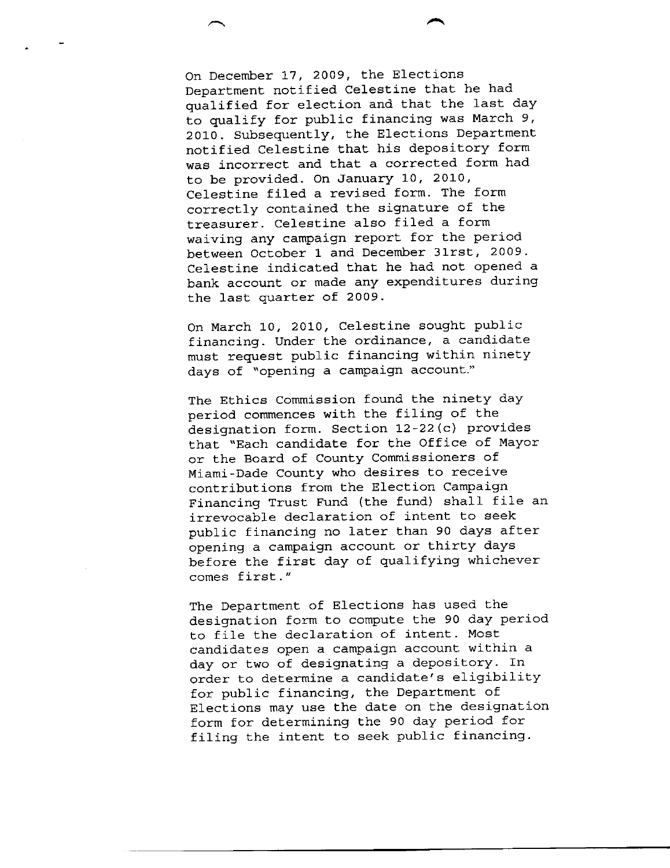On December 17, 2009, the Elections Department notified Celestine that he had qualified for election and that the last day to qualify for public financing was March 9, 2010. Subsequently, the Elections Department notified Celestine that his depository form was incorrect and that a corrected form had to be provided. On January 10, 2010, Celestine filed a revised form. The form correctly contained the signature of the treasurer. Celestine also filed a form waiving any campaign report for the period between October <sup>1</sup> and December 3lrst, 2009. Celestine indicated that he had not opened a bank account or made any expenditures during the last quarter of 2009.

On March 10, 2010, Celestine sought public financing. Under the ordinance, a candidate must request public financing within ninety days of "opening a campaign account."

The Ethics Commission found the ninety day period commences with the filing of the designation form. Section  $12-22$  (c) provides that "Each candidate for the Office of Mayor or the Board of County Commissioners of Miami-Dade County who desires to receive contributions from the Election Campaign Financing Trust Fund (the fund) shall file an irrevocable declaration of intent to seek public financing no later than <sup>90</sup> days after opening a campaign account or thirty days before the first day of qualifying whichever comes first."

The Department of Elections has used the designation form to compute the 90 day period to file the declaration of intent. Most candidates open a campaign account within a day or two of designating a depository. In order to determine a candidate's eligibility for public financing, the Department of Elections may use the date on the designation form for determining the <sup>90</sup> day period for filing the intent to seek public financing.